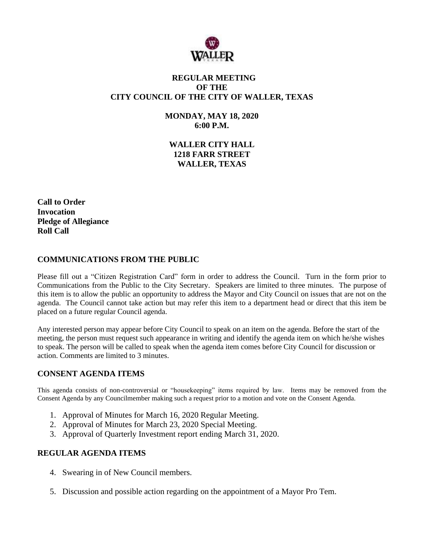

# **REGULAR MEETING OF THE CITY COUNCIL OF THE CITY OF WALLER, TEXAS**

**MONDAY, MAY 18, 2020 6:00 P.M.**

**WALLER CITY HALL 1218 FARR STREET WALLER, TEXAS**

**Call to Order Invocation Pledge of Allegiance Roll Call**

### **COMMUNICATIONS FROM THE PUBLIC**

Please fill out a "Citizen Registration Card" form in order to address the Council. Turn in the form prior to Communications from the Public to the City Secretary. Speakers are limited to three minutes. The purpose of this item is to allow the public an opportunity to address the Mayor and City Council on issues that are not on the agenda. The Council cannot take action but may refer this item to a department head or direct that this item be placed on a future regular Council agenda.

Any interested person may appear before City Council to speak on an item on the agenda. Before the start of the meeting, the person must request such appearance in writing and identify the agenda item on which he/she wishes to speak. The person will be called to speak when the agenda item comes before City Council for discussion or action. Comments are limited to 3 minutes.

# **CONSENT AGENDA ITEMS**

This agenda consists of non-controversial or "housekeeping" items required by law. Items may be removed from the Consent Agenda by any Councilmember making such a request prior to a motion and vote on the Consent Agenda.

- 1. Approval of Minutes for March 16, 2020 Regular Meeting.
- 2. Approval of Minutes for March 23, 2020 Special Meeting.
- 3. Approval of Quarterly Investment report ending March 31, 2020.

#### **REGULAR AGENDA ITEMS**

- 4. Swearing in of New Council members.
- 5. Discussion and possible action regarding on the appointment of a Mayor Pro Tem.